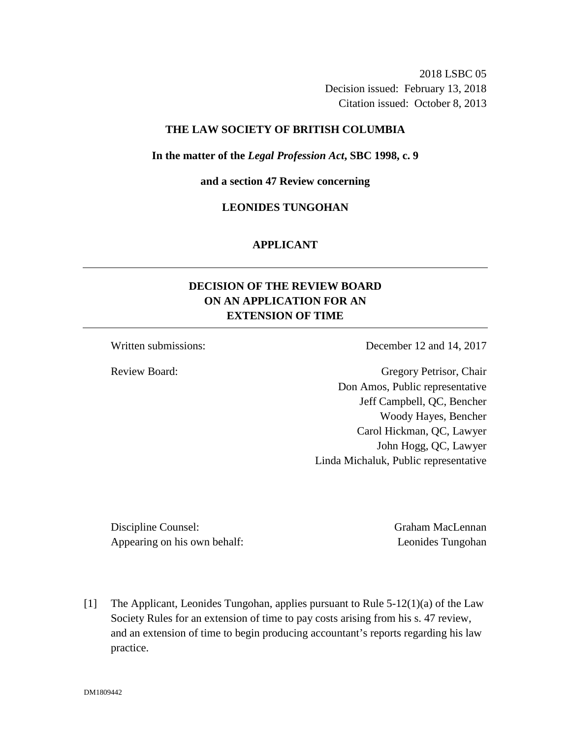2018 LSBC 05 Decision issued: February 13, 2018 Citation issued: October 8, 2013

### **THE LAW SOCIETY OF BRITISH COLUMBIA**

#### **In the matter of the** *Legal Profession Act***, SBC 1998, c. 9**

**and a section 47 Review concerning**

## **LEONIDES TUNGOHAN**

### **APPLICANT**

# **DECISION OF THE REVIEW BOARD ON AN APPLICATION FOR AN EXTENSION OF TIME**

Written submissions: December 12 and 14, 2017

Review Board: Gregory Petrisor, Chair Don Amos, Public representative Jeff Campbell, QC, Bencher Woody Hayes, Bencher Carol Hickman, QC, Lawyer John Hogg, QC, Lawyer Linda Michaluk, Public representative

Discipline Counsel: Graham MacLennan Appearing on his own behalf: Leonides Tungohan

[1] The Applicant, Leonides Tungohan, applies pursuant to Rule 5-12(1)(a) of the Law Society Rules for an extension of time to pay costs arising from his s. 47 review, and an extension of time to begin producing accountant's reports regarding his law practice.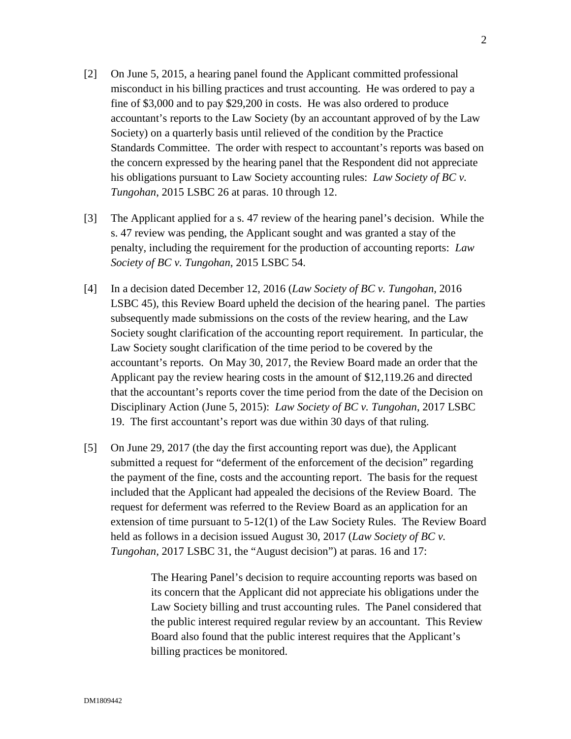- [2] On June 5, 2015, a hearing panel found the Applicant committed professional misconduct in his billing practices and trust accounting. He was ordered to pay a fine of \$3,000 and to pay \$29,200 in costs. He was also ordered to produce accountant's reports to the Law Society (by an accountant approved of by the Law Society) on a quarterly basis until relieved of the condition by the Practice Standards Committee. The order with respect to accountant's reports was based on the concern expressed by the hearing panel that the Respondent did not appreciate his obligations pursuant to Law Society accounting rules: *Law Society of BC v. Tungohan*, 2015 LSBC 26 at paras. 10 through 12.
- [3] The Applicant applied for a s. 47 review of the hearing panel's decision. While the s. 47 review was pending, the Applicant sought and was granted a stay of the penalty, including the requirement for the production of accounting reports: *Law Society of BC v. Tungohan*, 2015 LSBC 54.
- [4] In a decision dated December 12, 2016 (*Law Society of BC v. Tungohan,* 2016 LSBC 45), this Review Board upheld the decision of the hearing panel. The parties subsequently made submissions on the costs of the review hearing, and the Law Society sought clarification of the accounting report requirement. In particular, the Law Society sought clarification of the time period to be covered by the accountant's reports. On May 30, 2017, the Review Board made an order that the Applicant pay the review hearing costs in the amount of \$12,119.26 and directed that the accountant's reports cover the time period from the date of the Decision on Disciplinary Action (June 5, 2015): *Law Society of BC v. Tungohan*, 2017 LSBC 19. The first accountant's report was due within 30 days of that ruling.
- [5] On June 29, 2017 (the day the first accounting report was due), the Applicant submitted a request for "deferment of the enforcement of the decision" regarding the payment of the fine, costs and the accounting report. The basis for the request included that the Applicant had appealed the decisions of the Review Board. The request for deferment was referred to the Review Board as an application for an extension of time pursuant to 5-12(1) of the Law Society Rules. The Review Board held as follows in a decision issued August 30, 2017 (*Law Society of BC v. Tungohan,* 2017 LSBC 31, the "August decision") at paras. 16 and 17:

The Hearing Panel's decision to require accounting reports was based on its concern that the Applicant did not appreciate his obligations under the Law Society billing and trust accounting rules. The Panel considered that the public interest required regular review by an accountant. This Review Board also found that the public interest requires that the Applicant's billing practices be monitored.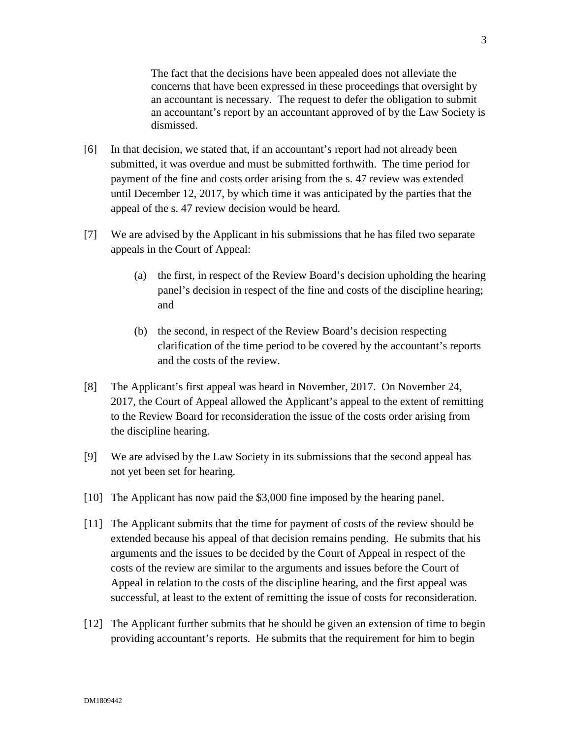The fact that the decisions have been appealed does not alleviate the concerns that have been expressed in these proceedings that oversight by an accountant is necessary. The request to defer the obligation to submit an accountant's report by an accountant approved of by the Law Society is dismissed.

- [6] In that decision, we stated that, if an accountant's report had not already been submitted, it was overdue and must be submitted forthwith. The time period for payment of the fine and costs order arising from the s. 47 review was extended until December 12, 2017, by which time it was anticipated by the parties that the appeal of the s. 47 review decision would be heard.
- [7] We are advised by the Applicant in his submissions that he has filed two separate appeals in the Court of Appeal:
	- (a) the first, in respect of the Review Board's decision upholding the hearing panel's decision in respect of the fine and costs of the discipline hearing; and
	- (b) the second, in respect of the Review Board's decision respecting clarification of the time period to be covered by the accountant's reports and the costs of the review.
- [8] The Applicant's first appeal was heard in November, 2017. On November 24, 2017, the Court of Appeal allowed the Applicant's appeal to the extent of remitting to the Review Board for reconsideration the issue of the costs order arising from the discipline hearing.
- [9] We are advised by the Law Society in its submissions that the second appeal has not yet been set for hearing.
- [10] The Applicant has now paid the \$3,000 fine imposed by the hearing panel.
- [11] The Applicant submits that the time for payment of costs of the review should be extended because his appeal of that decision remains pending. He submits that his arguments and the issues to be decided by the Court of Appeal in respect of the costs of the review are similar to the arguments and issues before the Court of Appeal in relation to the costs of the discipline hearing, and the first appeal was successful, at least to the extent of remitting the issue of costs for reconsideration.
- [12] The Applicant further submits that he should be given an extension of time to begin providing accountant's reports. He submits that the requirement for him to begin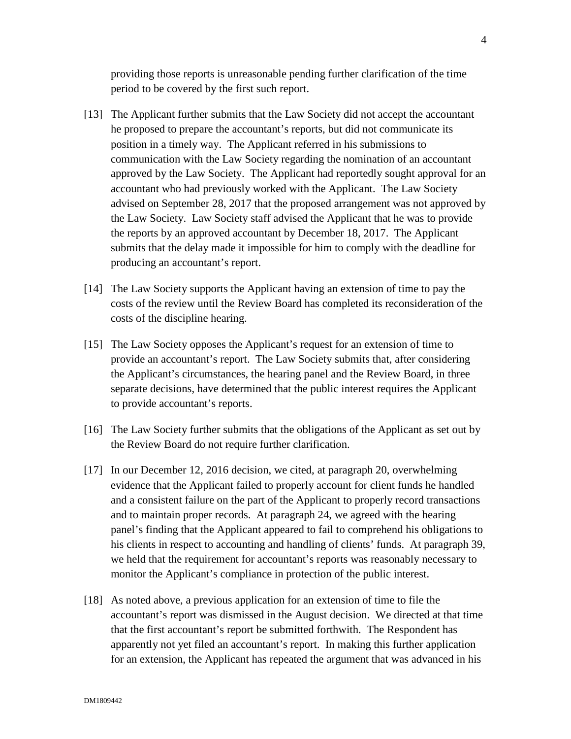providing those reports is unreasonable pending further clarification of the time period to be covered by the first such report.

- [13] The Applicant further submits that the Law Society did not accept the accountant he proposed to prepare the accountant's reports, but did not communicate its position in a timely way. The Applicant referred in his submissions to communication with the Law Society regarding the nomination of an accountant approved by the Law Society. The Applicant had reportedly sought approval for an accountant who had previously worked with the Applicant. The Law Society advised on September 28, 2017 that the proposed arrangement was not approved by the Law Society. Law Society staff advised the Applicant that he was to provide the reports by an approved accountant by December 18, 2017. The Applicant submits that the delay made it impossible for him to comply with the deadline for producing an accountant's report.
- [14] The Law Society supports the Applicant having an extension of time to pay the costs of the review until the Review Board has completed its reconsideration of the costs of the discipline hearing.
- [15] The Law Society opposes the Applicant's request for an extension of time to provide an accountant's report. The Law Society submits that, after considering the Applicant's circumstances, the hearing panel and the Review Board, in three separate decisions, have determined that the public interest requires the Applicant to provide accountant's reports.
- [16] The Law Society further submits that the obligations of the Applicant as set out by the Review Board do not require further clarification.
- [17] In our December 12, 2016 decision, we cited, at paragraph 20, overwhelming evidence that the Applicant failed to properly account for client funds he handled and a consistent failure on the part of the Applicant to properly record transactions and to maintain proper records. At paragraph 24, we agreed with the hearing panel's finding that the Applicant appeared to fail to comprehend his obligations to his clients in respect to accounting and handling of clients' funds. At paragraph 39, we held that the requirement for accountant's reports was reasonably necessary to monitor the Applicant's compliance in protection of the public interest.
- [18] As noted above, a previous application for an extension of time to file the accountant's report was dismissed in the August decision. We directed at that time that the first accountant's report be submitted forthwith. The Respondent has apparently not yet filed an accountant's report. In making this further application for an extension, the Applicant has repeated the argument that was advanced in his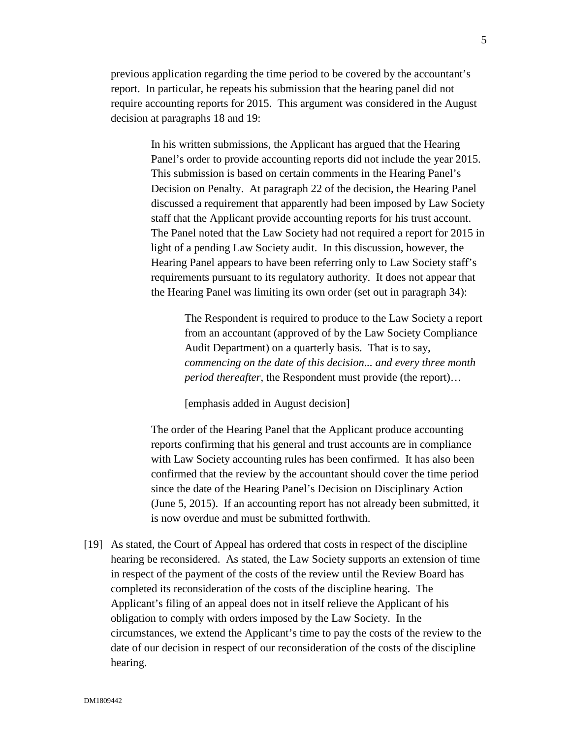previous application regarding the time period to be covered by the accountant's report. In particular, he repeats his submission that the hearing panel did not require accounting reports for 2015. This argument was considered in the August decision at paragraphs 18 and 19:

> In his written submissions, the Applicant has argued that the Hearing Panel's order to provide accounting reports did not include the year 2015. This submission is based on certain comments in the Hearing Panel's Decision on Penalty. At paragraph 22 of the decision, the Hearing Panel discussed a requirement that apparently had been imposed by Law Society staff that the Applicant provide accounting reports for his trust account. The Panel noted that the Law Society had not required a report for 2015 in light of a pending Law Society audit. In this discussion, however, the Hearing Panel appears to have been referring only to Law Society staff's requirements pursuant to its regulatory authority. It does not appear that the Hearing Panel was limiting its own order (set out in paragraph 34):

The Respondent is required to produce to the Law Society a report from an accountant (approved of by the Law Society Compliance Audit Department) on a quarterly basis. That is to say, *commencing on the date of this decision... and every three month period thereafter*, the Respondent must provide (the report)…

[emphasis added in August decision]

The order of the Hearing Panel that the Applicant produce accounting reports confirming that his general and trust accounts are in compliance with Law Society accounting rules has been confirmed. It has also been confirmed that the review by the accountant should cover the time period since the date of the Hearing Panel's Decision on Disciplinary Action (June 5, 2015). If an accounting report has not already been submitted, it is now overdue and must be submitted forthwith.

[19] As stated, the Court of Appeal has ordered that costs in respect of the discipline hearing be reconsidered. As stated, the Law Society supports an extension of time in respect of the payment of the costs of the review until the Review Board has completed its reconsideration of the costs of the discipline hearing. The Applicant's filing of an appeal does not in itself relieve the Applicant of his obligation to comply with orders imposed by the Law Society. In the circumstances, we extend the Applicant's time to pay the costs of the review to the date of our decision in respect of our reconsideration of the costs of the discipline hearing.